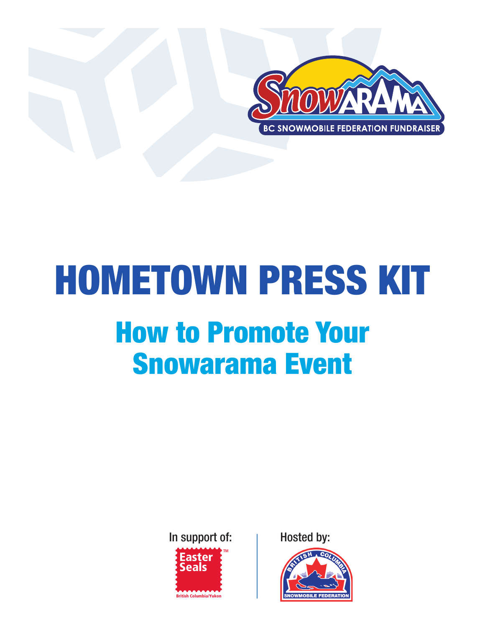

# HOMETOWN PRESS KIT How to Promote Your Snowarama Event



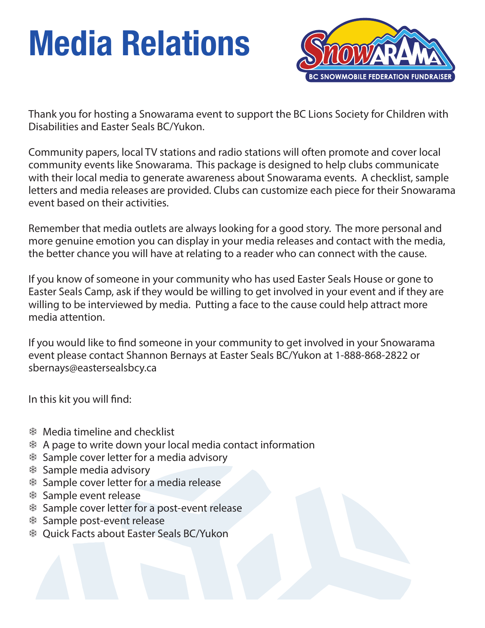# **Media Relations**



Thank you for hosting a Snowarama event to support the BC Lions Society for Children with Disabilities and Easter Seals BC/Yukon.

Community papers, local TV stations and radio stations will often promote and cover local community events like Snowarama. This package is designed to help clubs communicate with their local media to generate awareness about Snowarama events. A checklist, sample letters and media releases are provided. Clubs can customize each piece for their Snowarama event based on their activities.

Remember that media outlets are always looking for a good story. The more personal and more genuine emotion you can display in your media releases and contact with the media, the better chance you will have at relating to a reader who can connect with the cause.

If you know of someone in your community who has used Easter Seals House or gone to Easter Seals Camp, ask if they would be willing to get involved in your event and if they are willing to be interviewed by media. Putting a face to the cause could help attract more media attention.

If you would like to find someone in your community to get involved in your Snowarama event please contact Shannon Bernays at Easter Seals BC/Yukon at 1-888-868-2822 or sbernays@eastersealsbcy.ca

In this kit you will find:

- 7 Media timeline and checklist
- $*$  A page to write down your local media contact information
- 7 Sample cover letter for a media advisory
- 7 Sample media advisory
- 7 Sample cover letter for a media release
- 7 Sample event release
- 7 Sample cover letter for a post-event release
- 7 Sample post-event release
- **<sup>\$8</sup>** Ouick Facts about Easter Seals BC/Yukon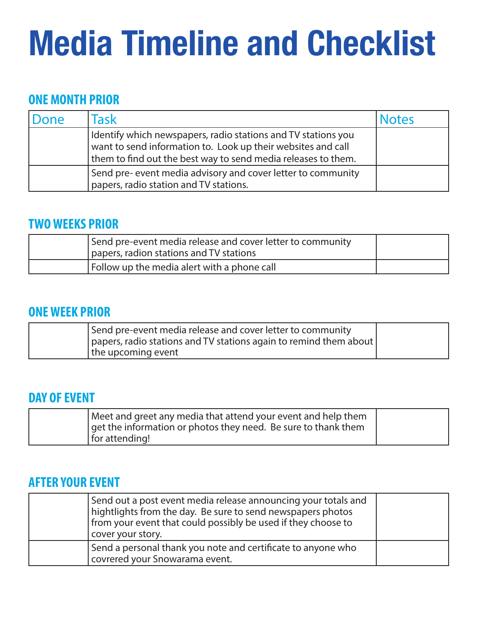# **Media Timeline and Checklist**

#### **ONE MONTH PRIOR**

| Done | Task                                                                                                                                                                                           | Jotes |
|------|------------------------------------------------------------------------------------------------------------------------------------------------------------------------------------------------|-------|
|      | Identify which newspapers, radio stations and TV stations you<br>want to send information to. Look up their websites and call<br>them to find out the best way to send media releases to them. |       |
|      | Send pre- event media advisory and cover letter to community<br>papers, radio station and TV stations.                                                                                         |       |

#### **TWO WEEKS PRIOR**

| Send pre-event media release and cover letter to community<br>papers, radion stations and TV stations |  |
|-------------------------------------------------------------------------------------------------------|--|
| Follow up the media alert with a phone call                                                           |  |

#### **ONE WEEK PRIOR**

| Send pre-event media release and cover letter to community<br>  papers, radio stations and TV stations again to remind them about |  |
|-----------------------------------------------------------------------------------------------------------------------------------|--|
| the upcoming event                                                                                                                |  |

#### **DAY OF EVENT**

| Meet and greet any media that attend your event and help them  |  |
|----------------------------------------------------------------|--|
| get the information or photos they need. Be sure to thank them |  |
| for attending!                                                 |  |

#### **AFTER YOUR EVENT**

| Send out a post event media release announcing your totals and<br>hightlights from the day. Be sure to send newspapers photos<br>from your event that could possibly be used if they choose to<br>cover your story. |  |
|---------------------------------------------------------------------------------------------------------------------------------------------------------------------------------------------------------------------|--|
| Send a personal thank you note and certificate to anyone who<br>covrered your Snowarama event.                                                                                                                      |  |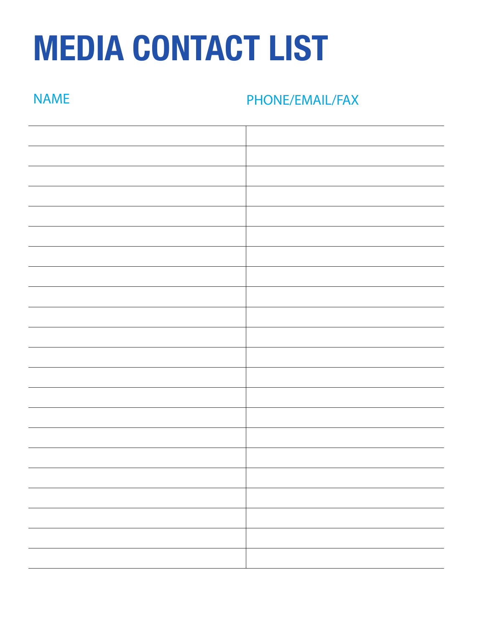# **MEDIA CONTACT LIST**

#### NAME PHONE/EMAIL/FAX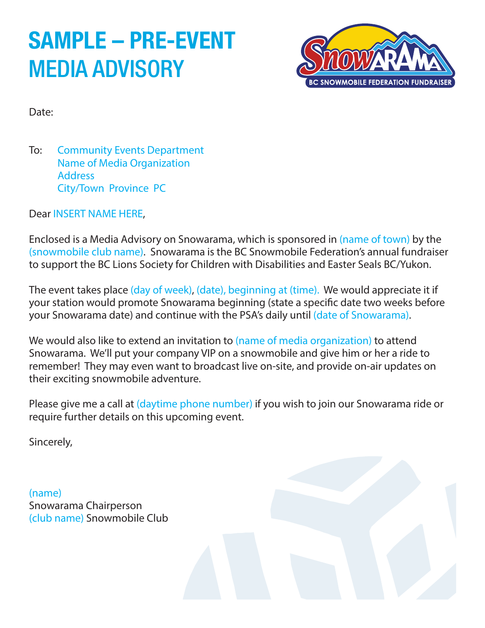## **SAMPLE – PRE-EVENT**  MEDIA ADVISORY



Date:

To: Community Events Department Name of Media Organization **Address** City/Town Province PC

Dear INSERT NAME HERE,

Enclosed is a Media Advisory on Snowarama, which is sponsored in (name of town) by the (snowmobile club name). Snowarama is the BC Snowmobile Federation's annual fundraiser to support the BC Lions Society for Children with Disabilities and Easter Seals BC/Yukon.

The event takes place (day of week), (date), beginning at (time). We would appreciate it if your station would promote Snowarama beginning (state a specific date two weeks before your Snowarama date) and continue with the PSA's daily until (date of Snowarama).

We would also like to extend an invitation to (name of media organization) to attend Snowarama. We'll put your company VIP on a snowmobile and give him or her a ride to remember! They may even want to broadcast live on-site, and provide on-air updates on their exciting snowmobile adventure.

Please give me a call at (daytime phone number) if you wish to join our Snowarama ride or require further details on this upcoming event.

Sincerely,

(name) Snowarama Chairperson (club name) Snowmobile Club

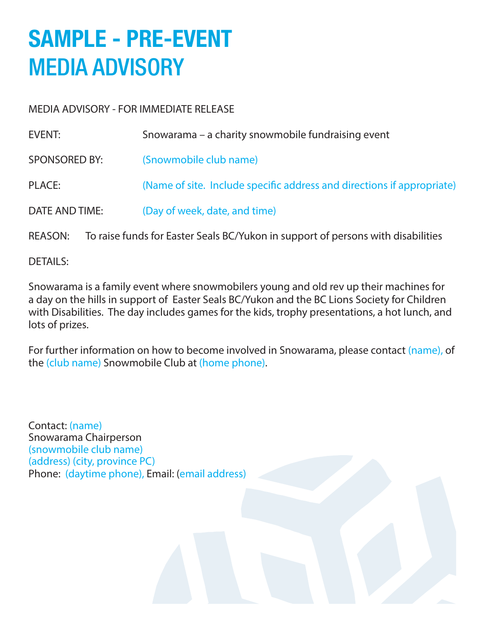### **SAMPLE - PRE-EVENT**  MEDIA ADVISORY

MEDIA ADVISORY - FOR IMMEDIATE RELEASE

| EVENT:               | Snowarama – a charity snowmobile fundraising event                     |
|----------------------|------------------------------------------------------------------------|
| <b>SPONSORED BY:</b> | (Snowmobile club name)                                                 |
| <b>PLACE:</b>        | (Name of site. Include specific address and directions if appropriate) |
| DATE AND TIME:       | (Day of week, date, and time)                                          |
|                      |                                                                        |

REASON: To raise funds for Easter Seals BC/Yukon in support of persons with disabilities

DETAILS:

Snowarama is a family event where snowmobilers young and old rev up their machines for a day on the hills in support of Easter Seals BC/Yukon and the BC Lions Society for Children with Disabilities. The day includes games for the kids, trophy presentations, a hot lunch, and lots of prizes.

For further information on how to become involved in Snowarama, please contact (name), of the (club name) Snowmobile Club at (home phone).

Contact: (name) Snowarama Chairperson (snowmobile club name) (address) (city, province PC) Phone: (daytime phone), Email: (email address)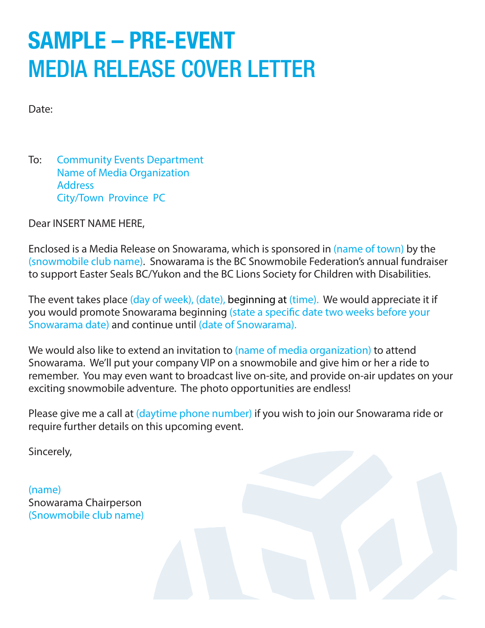### **SAMPLE – PRE-EVENT**  MEDIA RELEASE COVER LETTER

Date:

To: Community Events Department Name of Media Organization Address City/Town Province PC

Dear INSERT NAME HERE,

Enclosed is a Media Release on Snowarama, which is sponsored in (name of town) by the (snowmobile club name). Snowarama is the BC Snowmobile Federation's annual fundraiser to support Easter Seals BC/Yukon and the BC Lions Society for Children with Disabilities.

The event takes place (day of week), (date), beginning at (time). We would appreciate it if you would promote Snowarama beginning (state a specific date two weeks before your Snowarama date) and continue until (date of Snowarama).

We would also like to extend an invitation to (name of media organization) to attend Snowarama. We'll put your company VIP on a snowmobile and give him or her a ride to remember. You may even want to broadcast live on-site, and provide on-air updates on your exciting snowmobile adventure. The photo opportunities are endless!

Please give me a call at (daytime phone number) if you wish to join our Snowarama ride or require further details on this upcoming event.

Sincerely,

(name) Snowarama Chairperson (Snowmobile club name)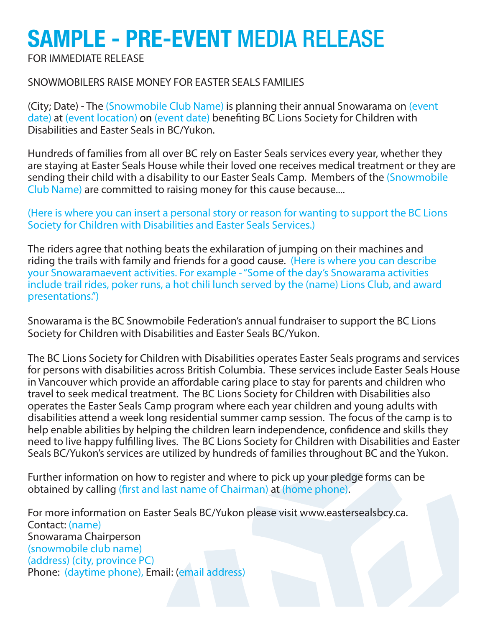## **SAMPLE - PRE-EVENT** MEDIA RELEASE

#### FOR IMMEDIATE RELEASE

#### SNOWMOBILERS RAISE MONEY FOR EASTER SEALS FAMILIES

(City; Date) - The (Snowmobile Club Name) is planning their annual Snowarama on (event date) at (event location) on (event date) benefiting BC Lions Society for Children with Disabilities and Easter Seals in BC/Yukon.

Hundreds of families from all over BC rely on Easter Seals services every year, whether they are staying at Easter Seals House while their loved one receives medical treatment or they are sending their child with a disability to our Easter Seals Camp. Members of the (Snowmobile Club Name) are committed to raising money for this cause because....

#### (Here is where you can insert a personal story or reason for wanting to support the BC Lions Society for Children with Disabilities and Easter Seals Services.)

The riders agree that nothing beats the exhilaration of jumping on their machines and riding the trails with family and friends for a good cause. (Here is where you can describe your Snowaramaevent activities. For example - "Some of the day's Snowarama activities include trail rides, poker runs, a hot chili lunch served by the (name) Lions Club, and award presentations.")

Snowarama is the BC Snowmobile Federation's annual fundraiser to support the BC Lions Society for Children with Disabilities and Easter Seals BC/Yukon.

The BC Lions Society for Children with Disabilities operates Easter Seals programs and services for persons with disabilities across British Columbia. These services include Easter Seals House in Vancouver which provide an affordable caring place to stay for parents and children who travel to seek medical treatment. The BC Lions Society for Children with Disabilities also operates the Easter Seals Camp program where each year children and young adults with disabilities attend a week long residential summer camp session. The focus of the camp is to help enable abilities by helping the children learn independence, confidence and skills they need to live happy fulfilling lives. The BC Lions Society for Children with Disabilities and Easter Seals BC/Yukon's services are utilized by hundreds of families throughout BC and the Yukon.

Further information on how to register and where to pick up your pledge forms can be obtained by calling (first and last name of Chairman) at (home phone).

For more information on Easter Seals BC/Yukon please visit www.eastersealsbcy.ca. Contact: (name) Snowarama Chairperson (snowmobile club name) (address) (city, province PC) Phone: (daytime phone), Email: (email address)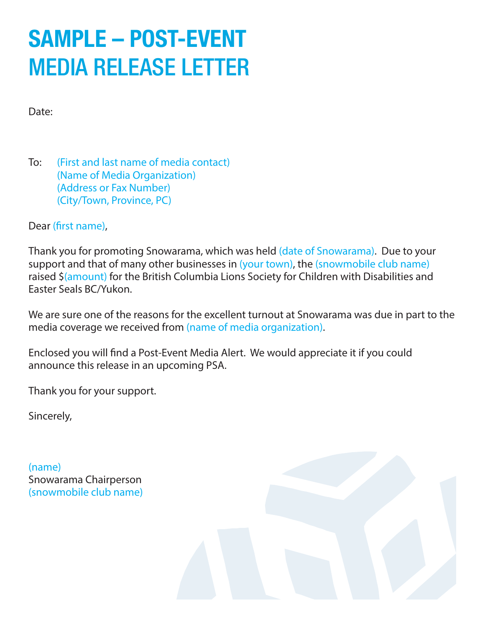## **SAMPLE – POST-EVENT**  MEDIA RELEASE LETTER

Date:

To: (First and last name of media contact) (Name of Media Organization) (Address or Fax Number) (City/Town, Province, PC)

Dear (first name),

Thank you for promoting Snowarama, which was held (date of Snowarama). Due to your support and that of many other businesses in (your town), the (snowmobile club name) raised \$(amount) for the British Columbia Lions Society for Children with Disabilities and Easter Seals BC/Yukon.

We are sure one of the reasons for the excellent turnout at Snowarama was due in part to the media coverage we received from (name of media organization).

Enclosed you will find a Post-Event Media Alert. We would appreciate it if you could announce this release in an upcoming PSA.

Thank you for your support.

Sincerely,

(name) Snowarama Chairperson (snowmobile club name)

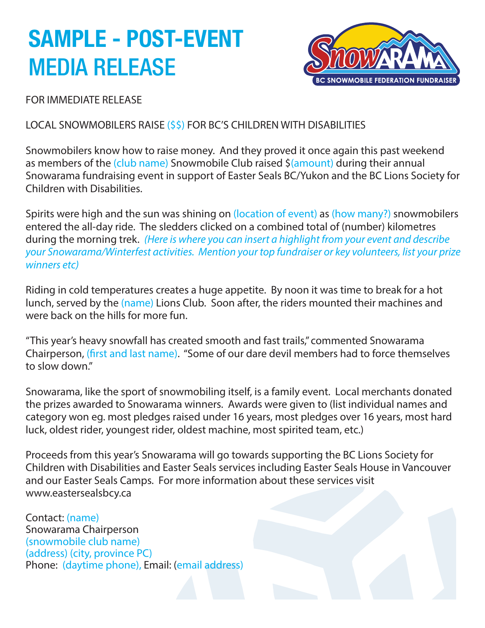## **SAMPLE - POST-EVENT**  MEDIA RELEASE



FOR IMMEDIATE RELEASE

LOCAL SNOWMOBILERS RAISE (\$\$) FOR BC'S CHILDREN WITH DISABILITIES

Snowmobilers know how to raise money. And they proved it once again this past weekend as members of the (club name) Snowmobile Club raised \$(amount) during their annual Snowarama fundraising event in support of Easter Seals BC/Yukon and the BC Lions Society for Children with Disabilities.

Spirits were high and the sun was shining on (location of event) as (how many?) snowmobilers entered the all-day ride. The sledders clicked on a combined total of (number) kilometres during the morning trek. *(Here is where you can insert a highlight from your event and describe your Snowarama/Winterfest activities. Mention your top fundraiser or key volunteers, list your prize winners etc)*

Riding in cold temperatures creates a huge appetite. By noon it was time to break for a hot lunch, served by the (name) Lions Club. Soon after, the riders mounted their machines and were back on the hills for more fun.

"This year's heavy snowfall has created smooth and fast trails," commented Snowarama Chairperson, (first and last name). "Some of our dare devil members had to force themselves to slow down."

Snowarama, like the sport of snowmobiling itself, is a family event. Local merchants donated the prizes awarded to Snowarama winners. Awards were given to (list individual names and category won eg. most pledges raised under 16 years, most pledges over 16 years, most hard luck, oldest rider, youngest rider, oldest machine, most spirited team, etc.)

Proceeds from this year's Snowarama will go towards supporting the BC Lions Society for Children with Disabilities and Easter Seals services including Easter Seals House in Vancouver and our Easter Seals Camps. For more information about these services visit www.eastersealsbcy.ca

Contact: (name) Snowarama Chairperson (snowmobile club name) (address) (city, province PC) Phone: (daytime phone), Email: (email address)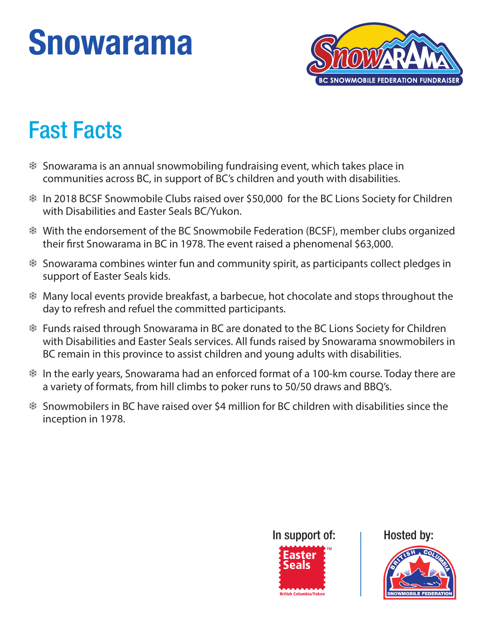## **Snowarama**



### Fast Facts

- $*$  Snowarama is an annual snowmobiling fundraising event, which takes place in communities across BC, in support of BC's children and youth with disabilities.
- **<sup>#</sup>** In 2018 BCSF Snowmobile Clubs raised over \$50,000 for the BC Lions Society for Children with Disabilities and Easter Seals BC/Yukon.
- 7 With the endorsement of the BC Snowmobile Federation (BCSF), member clubs organized their first Snowarama in BC in 1978. The event raised a phenomenal \$63,000.
- 7 Snowarama combines winter fun and community spirit, as participants collect pledges in support of Easter Seals kids.
- 7 Many local events provide breakfast, a barbecue, hot chocolate and stops throughout the day to refresh and refuel the committed participants.
- 7 Funds raised through Snowarama in BC are donated to the BC Lions Society for Children with Disabilities and Easter Seals services. All funds raised by Snowarama snowmobilers in BC remain in this province to assist children and young adults with disabilities.
- <sup>#</sup> In the early years, Snowarama had an enforced format of a 100-km course. Today there are a variety of formats, from hill climbs to poker runs to 50/50 draws and BBQ's.
- 7 Snowmobilers in BC have raised over \$4 million for BC children with disabilities since the inception in 1978.